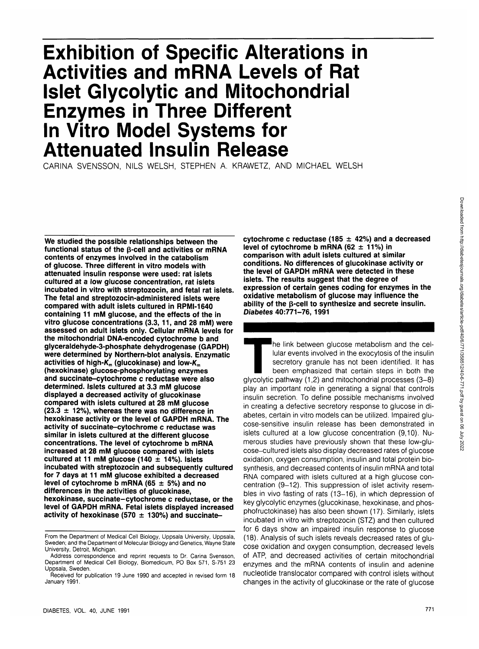# **Exhibition of Specific Alterations in Activities and mRNA Levels of Rat Islet Glycolytic and Mitochondrial Enzymes in Three Different In Vitro Model Systems for Attenuated Insulin Release**

CARINA SVENSSON, NILS WELSH, STEPHEN A. KRAWETZ, AND MICHAEL WELSH

**We studied the possible relationships between the functional status of the p-cell and activities or mRNA contents of enzymes involved in the catabolism of glucose. Three different in vitro models with attenuated insulin response were used: rat islets cultured at a low glucose concentration, rat islets incubated in vitro with streptozocin, and fetal rat islets. The fetal and streptozocin-administered islets were compared with adult islets cultured in RPMI-1640 containing 11 mM glucose, and the effects of the in vitro glucose concentrations (3.3,11, and 28 mM) were assessed on adult islets only. Cellular mRNA levels for the mitochondrial DNA-encoded cytochrome b and glyceraldehyde-3-phosphate dehydrogenase (GAPDH) were determined by Northern-blot analysis. Enzymatic** activities of high-K<sub>m</sub> (glucokinase) and low-K<sub>m</sub> **(hexokinase) glucose-phosphorylating enzymes and succinate-cytochrome c reductase were also determined. Islets cultured at 3.3 mM glucose displayed a decreased activity of glucokinase compared with islets cultured at 28 mM glucose (23.3 ± 12%), whereas there was no difference in hexokinase activity or the level of GAPDH mRNA. The activity of succinate-cytochrome c reductase was similar in islets cultured at the different glucose concentrations. The level of cytochrome b mRNA increased at 28 mM glucose compared with islets cultured at 11 mM glucose (140 ± 14%). Islets incubated with streptozocin and subsequently cultured for 7 days at 11 mM glucose exhibited a decreased level of cytochrome b mRNA (65 ± 5%) and no differences in the activities of glucokinase, hexokinase, succinate-cytochrome c reductase, or the level of GAPDH mRNA. Fetal islets displayed increased activity of hexokinase (570 ± 130%) and succinate-** **cytochrome c reductase (185 ± 42%) and a decreased level of cytochrome b mRNA (62 ± 11%) in comparison with adult islets cultured at similar conditions. No differences of glucokinase activity or the level of GAPDH mRNA were detected in these islets. The results suggest that the degree of expression of certain genes coding for enzymes in the oxidative metabolism of glucose may influence the ability of the p-cell to synthesize and secrete insulin. Diabetes 40:771-76, 1991**

The link between glucose metabolism and the cel-<br>lular events involved in the exocytosis of the insulin<br>secretory granule has not been identified. It has<br>been emphasized that certain steps in both the<br>glycolytic pathway (1 lular events involved in the exocytosis of the insulin secretory granule has not been identified. It has been emphasized that certain steps in both the play an important role in generating a signal that controls insulin secretion. To define possible mechanisms involved in creating a defective secretory response to glucose in diabetes, certain in vitro models can be utilized. Impaired glucose-sensitive insulin release has been demonstrated in islets cultured at a low glucose concentration (9,10). Numerous studies have previously shown that these low-glucose-cultured islets also display decreased rates of glucose oxidation, oxygen consumption, insulin and total protein biosynthesis, and decreased contents of insulin mRNA and total RNA compared with islets cultured at a high glucose concentration (9-12). This suppression of islet activity resembles in vivo fasting of rats (13-16), in which depression of key glycolytic enzymes (glucokinase, hexokinase, and phosphofructokinase) has also been shown (17). Similarly, islets incubated in vitro with streptozocin (STZ) and then cultured for 6 days show an impaired insulin response to glucose (18). Analysis of such islets reveals decreased rates of glucose oxidation and oxygen consumption, decreased levels of ATP, and decreased activities of certain mitochondrial enzymes and the mRNA contents of insulin and adenine nucleotide translocator compared with control islets without changes in the activity of glucokinase or the rate of glucose

From the Department of Medical Cell Biology, Uppsala University, Uppsala, Sweden; and the Department of Molecular Biology and Genetics, Wayne State University, Detroit, Michigan.

Address correspondence and reprint requests to Dr. Carina Svensson, Department of Medical Cell Biology, Biomedicum, PO Box 571, S-751 23 Uppsala, Sweden.

Received for publication 19 June 1990 and accepted in revised form 18 January 1991.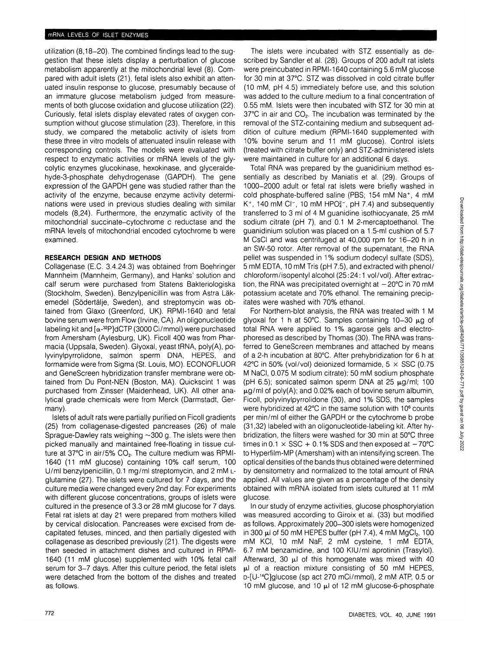utilization (8,18-20). The combined findings lead to the suggestion that these islets display a perturbation of glucose metabolism apparently at the mitochondrial level (8). Compared with adult islets (21), fetal islets also exhibit an attenuated insulin response to glucose, presumably because of an immature glucose metabolism judged from measurements of both glucose oxidation and glucose utilization (22). Curiously, fetal islets display elevated rates of oxygen consumption without glucose stimulation (23). Therefore, in this study, we compared the metabolic activity of islets from these three in vitro models of attenuated insulin release with corresponding controls. The models were evaluated with respect to enzymatic activities or mRNA levels of the glycolytic enzymes glucokinase, hexokinase, and glyceraldehyde-3-phosphate dehydrogenase (GAPDH). The gene expression of the GAPDH gene was studied rather than the activity of the enzyme, because enzyme activity determinations were used in previous studies dealing with similar models (8,24). Furthermore, the enzymatic activity of the mitochondrial succinate-cytochrome c reductase and the mRNA levels of mitochondrial encoded cytochrome b were examined.

## **RESEARCH DESIGN AND METHODS**

Collagenase (E.C. 3.4.24.3) was obtained from Boehringer Mannheim (Mannheim, Germany), and Hanks' solution and calf serum were purchased from Statens Bakteriologiska (Stockholm, Sweden). Benzylpenicillin was from Astra Lakemedel (Södertälje, Sweden), and streptomycin was obtained from Glaxo (Greenford, UK). RPMI-1640 and fetal bovine serum were from Flow (Irvine, CA). An oligonucleotide labeling kit and  $\lceil \alpha^{-32}P \rceil dCTP$  (3000 Ci/mmol) were purchased from Amersham (Aylesburg, UK). Ficoll 400 was from Pharmacia (Uppsala, Sweden). Glyoxal, yeast tRNA, poly(A), polyvinylpyrrolidone, salmon sperm DNA, HEPES, and formamide were from Sigma (St. Louis, MO). ECONOFLUOR and GeneScreen hybridization transfer membrane were obtained from Du Pont-NEN (Boston, MA). Quickscint 1 was purchased from Zinsser (Maidenhead, UK). All other analytical grade chemicals were from Merck (Darmstadt, Germany).

Islets of adult rats were partially purified on Ficoll gradients (25) from collagenase-digested pancreases (26) of male Sprague-Dawley rats weighing  $\sim$ 300 g. The islets were then picked manually and maintained free-floating in tissue culture at 37°C in air/5% CO<sub>2</sub>. The culture medium was RPMI-1640 (11 mM glucose) containing 10% calf serum, 100 U/ml benzylpenicillin, 0.1 mg/ml streptomycin, and 2 mM Lglutamine (27). The islets were cultured for 7 days, and the culture media were changed every 2nd day. For experiments with different glucose concentrations, groups of islets were cultured in the presence of 3.3 or 28 mM glucose for 7 days. Fetal rat islets at day 21 were prepared from mothers killed by cervical dislocation. Pancreases were excised from decapitated fetuses, minced, and then partially digested with collagenase as described previously (21). The digests were then seeded in attachment dishes and cultured in RPMI-1640 (11 mM glucose) supplemented with 10% fetal calf serum for 3-7 days. After this culture period, the fetal islets were detached from the bottom of the dishes and treated as. follows.

The islets were incubated with STZ essentially as described by Sandier et al. (28). Groups of 200 adult rat islets were preincubated in RPMI-1640 containing 5.6 mM glucose for 30 min at 37°C. STZ was dissolved in cold citrate buffer (10 mM, pH 4.5) immediately before use, and this solution was added to the culture medium to a final concentration of 0.55 mM. Islets were then incubated with STZ for 30 min at 37°C in air and CO<sub>2</sub>. The incubation was terminated by the removal of the STZ-containing medium and subsequent addition of culture medium (RPMI-1640 supplemented with 10% bovine serum and 11 mM glucose). Control islets (treated with citrate buffer only) and STZ-administered islets were maintained in culture for an additional 6 days.

Total RNA was prepared by the guanidinium method essentially as described by Maniatis et al. (29). Groups of 1000-2000 adult or fetal rat islets were briefly washed in cold phosphate-buffered saline (PBS; 154 mM Na<sup>+</sup> , 4 mM K<sup>+</sup>, 140 mM Cl<sup>-</sup>, 10 mM HPO $_{4}^{2}$ -, pH 7.4) and subsequently transferred to 3 ml of 4 M guanidine isothiocyanate, 25 mM sodium citrate (pH 7), and 0.1 M 2-mercaptoethanol. The guanidinium solution was placed on a 1.5-ml cushion of 5.7 M CsCI and was centrifuged at 40,000 rpm for 16-20 h in an SW-50 rotor. After removal of the supernatant, the RNA pellet was suspended in 1% sodium dodecyl sulfate (SDS), 5 mM EDTA, 10 mM Tris (pH 7.5), and extracted with phenol/ chloroform/isopentyl alcohol (25:24:1 vol/vol). After extraction, the RNA was precipitated overnight at  $-20^{\circ}$ C in 70 mM potassium acetate and 70% ethanol. The remaining precipitates were washed with 70% ethanol.

For Northern-blot analysis, the RNA was treated with 1 M glyoxal for 1 h at 50°C. Samples containing  $10-30 \mu q$  of total RNA were applied to 1% agarose gels and electrophoresed as described by Thomas (30). The RNA was transferred to GeneScreen membranes and attached by means of a 2-h incubation at 80°C. After prehybridization for 6 h at 42°C in 50% (vol/vol) deionized formamide,  $5 \times$  SSC (0.75 M NaCI, 0.075 M sodium citrate); 50 mM sodium phosphate (pH 6.5); sonicated salmon sperm DNA at 25  $\mu$ g/ml; 100  $\mu$ g/ml of poly(A); and 0.02% each of bovine serum albumin, Ficoll, polyvinylpyrrolidone (30), and 1% SDS, the samples were hybridized at 42°C in the same solution with 10<sup>6</sup> counts per min/ml of either the GAPDH or the cytochrome b probe (31,32) labeled with an oligonucleotide-labeling kit. After hybridization, the filters were washed for 30 min at 50°C three times in  $0.1 \times$  SSC + 0.1% SDS and then exposed at  $-70^{\circ}$ C to Hyperfilm-MP (Amersham) with an intensifying screen. The optical densities of the bands thus obtained were determined by densitometry and normalized to the total amount of RNA applied. All values are given as a percentage of the density obtained with mRNA isolated from islets cultured at 11 mM glucose.

In our study of enzyme activities, glucose phosphorylation was measured according to Giroix et al. (33) but modified as follows. Approximately 200-300 islets were homogenized in 300  $\mu$ I of 50 mM HEPES buffer (pH 7.4), 4 mM MgCI<sub>2</sub>, 100 mM KCI, 10 mM NaF, 2 mM cysteine, 1 mM EDTA, 6.7 mM benzamidine, and 100 KlU/ml aprotinin (Trasylol). Afterward, 30  $\mu$ l of this homogenate was mixed with 40  $µ$ l of a reaction mixture consisting of 50 mM HEPES, D-[U-14C]glucose (sp act 270 mCi/mmol), 2 mM ATP, 0.5 or 10 mM glucose, and 10  $\mu$ l of 12 mM glucose-6-phosphate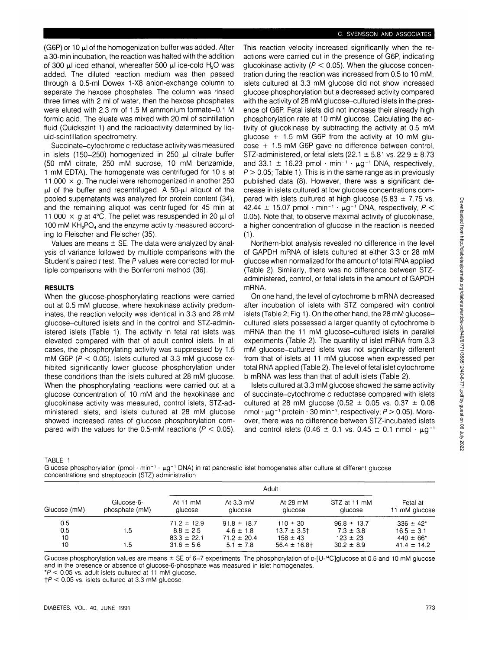(G6P) or 10  $\mu$  of the homogenization buffer was added. After a 30-min incubation, the reaction was halted with the addition of 300  $\mu$ I iced ethanol, whereafter 500  $\mu$ I ice-cold H<sub>2</sub>O was added. The diluted reaction medium was then passed through a 0.5-ml Dowex 1-X8 anion-exchange column to separate the hexose phosphates. The column was rinsed three times with 2 ml of water, then the hexose phosphates were eluted with 2.3 ml of 1.5 M ammonium formate-0.1 M formic acid. The eluate was mixed with 20 ml of scintillation fluid (Quickszint 1) and the radioactivity determined by liguid-scintillation spectrometry.

Succinate-cytochrome c reductase activity was measured in islets (150-250) homogenized in 250  $\mu$ l citrate buffer (50 mM citrate, 250 mM sucrose, 10 mM benzamide, 1 mM EDTA). The homogenate was centrifuged for 10 s at 11,000  $\times$  g. The nuclei were rehomogenized in another 250  $\mu$ l of the buffer and recentrifuged. A 50- $\mu$ l aliquot of the pooled supernatants was analyzed for protein content (34), and the remaining aliquot was centrifuged for 45 min at 11,000  $\times$  g at 4°C. The pellet was resuspended in 20  $\mu$  of 100 mM KH<sub>2</sub>PO<sub>4</sub> and the enzyme activity measured according to Fleischer and Fleischer (35).

Values are means  $\pm$  SE. The data were analyzed by analysis of variance followed by multiple comparisons with the Student's paired t test. The P values were corrected for multiple comparisons with the Bonferroni method (36).

### **RESULTS**

When the glucose-phosphorylating reactions were carried out at 0.5 mM glucose, where hexokinase activity predominates, the reaction velocity was identical in 3.3 and 28 mM glucose-cultured islets and in the control and STZ-administered islets (Table 1). The activity in fetal rat islets was elevated compared with that of adult control islets. In all cases, the phosphorylating activity was suppressed by 1.5 mM G6P ( $P < 0.05$ ). Islets cultured at 3.3 mM glucose exhibited significantly lower glucose phosphorylation under these conditions than the islets cultured at 28 mM glucose. When the phosphorylating reactions were carried out at a glucose concentration of 10 mM and the hexokinase and glucokinase activity was measured, control islets, STZ-administered islets, and islets cultured at 28 mM glucose showed increased rates of glucose phosphorylation compared with the values for the 0.5-mM reactions ( $P < 0.05$ ).

This reaction velocity increased significantly when the reactions were carried out in the presence of G6P, indicating glucokinase activity ( $P < 0.05$ ). When the glucose concentration during the reaction was increased from 0.5 to 10 mM, islets cultured at 3.3 mM glucose did not show increased glucose phosphorylation but a decreased activity compared with the activity of 28 mM glucose-cultured islets in the presence of G6P. Fetal islets did not increase their already high phosphorylation rate at 10 mM glucose. Calculating the activity of glucokinase by subtracting the activity at 0.5 mM glucose  $+$  1.5 mM G6P from the activity at 10 mM glucose + 1.5 mM G6P gave no difference between control, STZ-administered, or fetal islets (22.1  $\pm$  5.81 vs. 22.9  $\pm$  8.73 and 33.1  $\pm$  16.23 pmol  $\cdot$  min<sup>-1</sup>  $\cdot$   $\mu$ g<sup>-1</sup> DNA, respectively,  $P > 0.05$ ; Table 1). This is in the same range as in previously published data (8). However, there was a significant decrease in islets cultured at low glucose concentrations compared with islets cultured at high glucose (5.83  $\pm$  7.75 vs.  $42.44 \pm 15.07$  pmol  $\cdot$  min<sup>-1</sup>  $\cdot$   $\mu$ a<sup>-1</sup> DNA, respectively, P < 0.05). Note that, to observe maximal activity of glucokinase, a higher concentration of glucose in the reaction is needed  $(1).$ 

Northern-blot analysis revealed no difference in the level of GAPDH mRNA of islets cultured at either 3.3 or 28 mM glucose when normalized for the amount of total RNA applied (Table 2). Similarly, there was no difference between STZadministered, control, or fetal islets in the amount of GAPDH mRNA.

On one hand, the level of cytochrome b mRNA decreased after incubation of islets with STZ compared with control islets (Table 2; Fig 1). On the other hand, the 28 mM glucosecultured islets possessed a larger quantity of cytochrome b mRNA than the 11 mM glucose-cultured islets in parallel experiments (Table 2). The quantity of islet mRNA from 3.3 mM glucose-cultured islets was not significantly different from that of islets at 11 mM glucose when expressed per total RNA applied (Table 2). The level of fetal islet cytochrome b mRNA was less than that of adult islets (Table 2).

Islets cultured at 3.3 mM glucose showed the same activity of succinate-cytochrome c reductase compared with islets cultured at 28 mM glucose (0.52  $\pm$  0.05 vs. 0.37  $\pm$  0.08 nmol  $\cdot \mu$ g<sup>-1</sup> protein  $\cdot$  30 min<sup>-1</sup>, respectively;  $P > 0.05$ ). Moreover, there was no difference between STZ-incubated islets and control islets (0.46  $\pm$  0.1 vs. 0.45  $\pm$  0.1 nmol  $\cdot \mu q^{-1}$ 

TABLE 1

|                                                      | Glucose phosphorylation (pmol $\cdot$ min <sup>-1</sup> $\cdot \mu$ g <sup>-1</sup> DNA) in rat pancreatic islet homogenates after culture at different glucose |  |
|------------------------------------------------------|-----------------------------------------------------------------------------------------------------------------------------------------------------------------|--|
| concentrations and streptozocin (STZ) administration |                                                                                                                                                                 |  |

| Glucose (mM) |                              | Adult                 |                                       |                               |                         |                           |
|--------------|------------------------------|-----------------------|---------------------------------------|-------------------------------|-------------------------|---------------------------|
|              | Glucose-6-<br>phosphate (mM) | At 11 $mM$<br>alucose | At $3.3 \text{ }\text{mM}$<br>alucose | At $28 \text{ mM}$<br>alucose | STZ at 11 mM<br>alucose | Fetal at<br>11 mM glucose |
| $0.5\,$      | 1.5                          | $71.2 \pm 12.9$       | $91.8 \pm 18.7$                       | $110 \pm 30$                  | $96.8 \pm 13.7$         | $336 \pm 42^*$            |
| 0.5          |                              | $8.8 \pm 2.5$         | $4.6 \pm 1.8$                         | $13.7 \pm 3.5$                | $7.3 \pm 3.8$           | $16.5 \pm 3.1$            |
| 10           | 1.5                          | $83.3 \pm 22.1$       | $71.2 \pm 20.4$                       | $158 \pm 43$                  | $123 \pm 23$            | $440 \pm 66^*$            |
| 10           |                              | $31.6 \pm 5.6$        | $5.1 \pm 7.8$                         | $56.4 \pm 16.8$               | $30.2 \pm 8.9$          | $41.4 \pm 14.2$           |

Glucose phosphorylation values are means ± SE of 6-7 experiments. The phosphorylation of p-[U-<sup>14</sup>C]glucose at 0.5 and 10 mM glucose and in the presence or absence of glucose-6-phosphate was measured in islet homogenates.

 $*P < 0.05$  vs. adult islets cultured at 11 mM glucose.

 $\uparrow$ P < 0.05 vs. islets cultured at 3.3 mM glucose.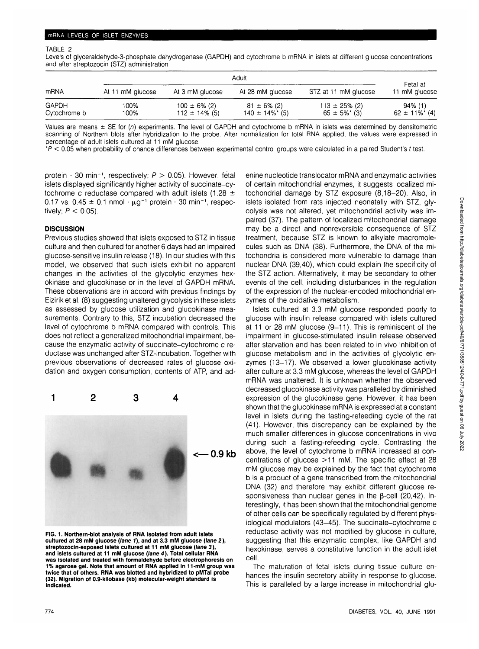#### TABLE 2

Levels of glyceraldehyde-3-phosphate dehydrogenase (GAPDH) and cytochrome b mRNA in islets at different glucose concentrations and after streptozocin (STZ) administration

|                              |                  | Fetal at                                |                                          |                                          |                                           |
|------------------------------|------------------|-----------------------------------------|------------------------------------------|------------------------------------------|-------------------------------------------|
| mRNA                         | At 11 mM glucose | At 3 mM glucose                         | At 28 mM glucose                         | STZ at 11 mM glucose                     | 11 mM glucose                             |
| <b>GAPDH</b><br>Cytochrome b | 100%<br>100%     | $100 \pm 6\%$ (2)<br>$112 \pm 14\%$ (5) | $81 \pm 6\%$ (2)<br>$140 \pm 14\%$ * (5) | $113 \pm 25\%$ (2)<br>$65 \pm 5\%$ * (3) | 94% (1)<br>$62 \pm 11\%$ <sup>*</sup> (4) |

Values are means  $\pm$  SE for (n) experiments. The level of GAPDH and cytochrome b mRNA in islets was determined by densitometric scanning of Northern blots after hybridization to the probe. After normalization for total RNA applied, the values were expressed in percentage of adult islets cultured at 11 mM glucose.

\*P < 0.05 when probability of chance differences between experimental control groups were calculated in a paired Student's t test.

protein  $\cdot$  30 min<sup>-1</sup>, respectively;  $P > 0.05$ ). However, fetal islets displayed significantly higher activity of succinate-cytochrome c reductase compared with adult islets (1.28  $\pm$  $0.17$  vs.  $0.45 \pm 0.1$  nmol  $\cdot \mu \text{g}^{-1}$  protein  $\cdot$  30 min<sup>-1</sup>, respectively;  $P < 0.05$ ).

## **DISCUSSION**

Previous studies showed that islets exposed to STZ in tissue culture and then cultured for another 6 days had an impaired glucose-sensitive insulin release (18). In our studies with this model, we observed that such islets exhibit no apparent changes in the activities of the glycolytic enzymes hexokinase and glucokinase or in the level of GAPDH mRNA. These observations are in accord with previous findings by Eizirik et al. (8) suggesting unaltered glycolysis in these islets as assessed by glucose utilization and glucokinase measurements. Contrary to this, STZ incubation decreased the level of cytochrome b mRNA compared with controls. This does not reflect a generalized mitochondrial impairment, because the enzymatic activity of succinate-cytochrome c reductase was unchanged after STZ-incubation. Together with previous observations of decreased rates of glucose oxidation and oxygen consumption, contents of ATP, and ad-



FIG. 1. Northern-blot analysis of RNA isolated from adult islets cultured at 28 mM glucose (lane 1), and at 3.3 mM glucose (lane 2), streptozocin-exposed islets cultured at 11 mM glucose (lane 3), and islets cultured at 11 mM glucose (lane 4). Total cellular RNA<br>was isolated and treated with formaldehyde before electrophoresis on<br>1% agarose gel. Note that amount of RNA applied in 11-mM group was<br>twice that of other indicated.

enine nucleotide translocator mRNA and enzymatic activities of certain mitochondrial enzymes, it suggests localized mitochondrial damage by STZ exposure (8,18-20). Also, in islets isolated from rats injected neonatally with STZ, glycolysis was not altered, yet mitochondrial activity was impaired (37). The pattern of localized mitochondrial damage may be a direct and nonreversible consequence of STZ treatment, because STZ is known to alkylate macromolecules such as DNA (38). Furthermore, the DNA of the mitochondria is considered more vulnerable to damage than nuclear DNA (39,40), which could explain the specificity of the STZ action. Alternatively, it may be secondary to other events of the cell, including disturbances in the regulation of the expression of the nuclear-encoded mitochondrial enzymes of the oxidative metabolism.

Islets cultured at 3.3 mM glucose responded poorly to glucose with insulin release compared with islets cultured at 11 or 28 mM glucose (9-11). This is reminiscent of the impairment in glucose-stimulated insulin release observed after starvation and has been related to in vivo inhibition of glucose metabolism and in the activities of glycolytic enzymes (13-17). We observed a lower glucokinase activity after culture at 3.3 mM glucose, whereas the level of GAPDH mRNA was unaltered. It is unknown whether the observed decreased glucokinase activity was paralleled by diminished expression of the glucokinase gene. However, it has been shown that the glucokinase mRNA is expressed at a constant level in islets during the fasting-refeeding cycle of the rat (41). However, this discrepancy can be explained by the much smaller differences in glucose concentrations in vivo during such a fasting-refeeding cycle. Contrasting the above, the level of cytochrome b mRNA increased at concentrations of glucose >11 mM. The specific effect at 28 mM glucose may be explained by the fact that cytochrome b is a product of a gene transcribed from the mitochondrial DNA (32) and therefore may exhibit different glucose responsiveness than nuclear genes in the B-cell (20,42). Interestingly, it has been shown that the mitochondrial genome of other cells can be specifically regulated by different physiological modulators (43-45). The succinate-cytochrome c reductase activity was not modified by glucose in culture, suggesting that this enzymatic complex, like GAPDH and hexokinase, serves a constitutive function in the adult islet cell.

The maturation of fetal islets during tissue culture enhances the insulin secretory ability in response to glucose. This is paralleled by a large increase in mitochondrial glu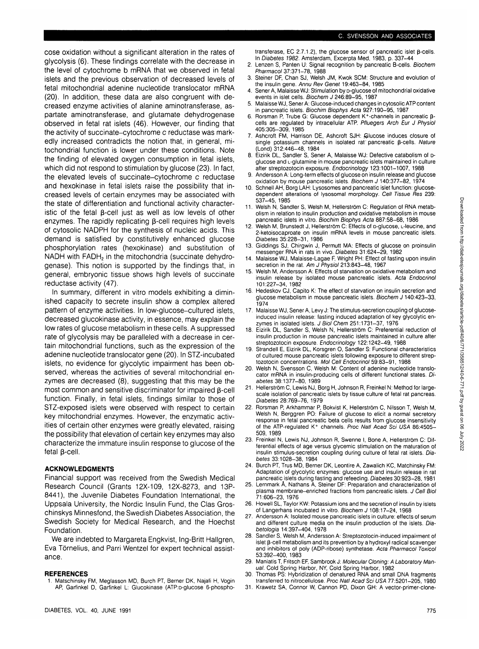cose oxidation without a significant alteration in the rates of glycolysis (6). These findings correlate with the decrease in the level of cytochrome b mRNA that we observed in fetal islets and the previous observation of decreased levels of fetal mitochondrial adenine nucleotide translocator mRNA (20). In addition, these data are also congruent with decreased enzyme activities of alanine aminotransferase, aspartate aminotransferase, and glutamate dehydrogenase observed in fetal rat islets (46). However, our finding that the activity of succinate-cytochrome c reductase was markedly increased contradicts the notion that, in general, mitochondrial function is lower under these conditions. Note the finding of elevated oxygen consumption in fetal islets, which did not respond to stimulation by glucose (23). In fact, the elevated levels of succinate-cytochrome c reductase and hexokinase in fetal islets raise the possibility that increased levels of certain enzymes may be associated with the state of differentiation and functional activity characteristic of the fetal B-cell just as well as low levels of other enzymes. The rapidly replicating  $\beta$ -cell requires high levels of cytosolic NADPH for the synthesis of nucleic acids. This demand is satisfied by constitutively enhanced glucose phosphorylation rates (hexokinase) and substitution of NADH with FADH<sub>2</sub> in the mitochondria (succinate dehydrogenase). This notion is supported by the findings that, in general, embryonic tissue shows high levels of succinate reductase activity (47).

In summary, different in vitro models exhibiting a diminished capacity to secrete insulin show a complex altered pattern of enzyme activities. In low-glucose-cultured islets, decreased glucokinase activity, in essence, may explain the low rates of glucose metabolism in these cells. A suppressed rate of glycolysis may be paralleled with a decrease in certain mitochondrial functions, such as the expression of the adenine nucleotide translocator gene (20). In STZ-incubated islets, no evidence for glycolytic impairment has been observed, whereas the activities of several mitochondrial enzymes are decreased (8), suggesting that this may be the most common and sensitive discriminator for impaired  $\beta$ -cell function. Finally, in fetal islets, findings similar to those of STZ-exposed islets were observed with respect to certain key mitochondrial enzymes. However, the enzymatic activities of certain other enzymes were greatly elevated, raising the possibility that elevation of certain key enzymes may also characterize the immature insulin response to glucose of the fetal  $\beta$ -cell.

## **ACKNOWLEDGMENTS**

Financial support was received from the Swedish Medical Research Council (Grants 12X-109, 12X-8273, and 13P-8441), the Juvenile Diabetes Foundation International, the Uppsala University, the Nordic Insulin Fund, the Clas Groschinskys Minnesfond, the Swedish Diabetes Association, the Swedish Society for Medical Research, and the Hoechst Foundation.

We are indebted to Margareta Engkvist, Ing-Britt Hallgren, Eva Tornelius, and Parri Wentzel for expert technical assistance.

#### **REFERENCES**

1. Matschinsky FM, Meglasson MD, Burch PT, Berner DK, Najafi H, Vogin AP, Garfinkel D, Garfinkel L: Glucokinase (ATP:D-glucose 6-phosphotransferase, EC 2.7.1.2), the glucose sensor of pancreatic islet  $\beta$ -cells. In Diabetes 1982. Amsterdam, Excerpta Med, 1983, p. 337-44

- 2. Lenzen S, Panten U: Signal recognition by pancreatic B-cells. Biochem Pharmacol 37:371-78, 1988
- 3. Steiner DF, Chan SJ, Welsh JM, Kwok SCM: Structure and evolution of the insulin gene. Annu Rev Genet 19:463-84, 1985
- Sener A, Malaisse WJ: Stimulation by p-glucose of mitochondrial oxidative events in islet cells. Biochem J 246:89-95, 1987
- 5. Malaisse WJ, Sener A: Glucose-induced changes in cytosolic ATP content
- in pancreatic islets. Biochim Biophys Acta 927:190-95, 1987 6. Rorsman P, Trube G: Glucose dependent K<sup>+</sup> -channels in pancreatic pcells are regulated by intracellular ATP. Pfluegers Arch Eur J Physiol 405:305-309, 1985
- 7. Ashcroft FM, Harrison DE, Ashcroft SJH: Glucose induces closure of single potassium channels in isolated rat pancreatic ß-cells. Nature (Lond) 312:446-48, 1984
- 8. Eizirik DL, Sandier S, Sener A, Malaisse WJ: Defective catabolism of Dglucose and L-glutamine in mouse pancreatic islets maintained in culture after streptozotocin exposure. Endocrinology 123:1001-1007, 1988
- 9. Andersson A: Long-term effects of glucose on insulin release and glucose oxidation by mouse pancreatic islets. Biochem J 140:377-82, 1974
- 10. Schnell AH, Borg LAH: Lysosomes and pancreatic islet function: glucosedependent alterations of lysosomal morphology. Cell Tissue Res 239: 537-45, 1985
- 11. Welsh N, Sandier S, Welsh M, Hellerstrom C: Regulation of RNA metabolism in relation to insulin production and oxidative metabolism in mouse pancreatic islets in vitro. Biochim Biophys Acta 887:58-68, 1986
- 12. Welsh M, Brunstedt J, Hellerström C: Effects of D-glucose, L-leucine, and 2-ketoisocaproate on insulin mRNA levels in mouse pancreatic islets. Diabetes 35:228-31, 1986
- 13. Giddings SJ, Chirgwin J, Permutt MA: Effects of glucose on proinsulin messenger RNA in rats in vivo. Diabetes 31:624-29, 1982
- 14. Malaisse WJ, Malaisse-Lagae F, Wright PH: Effect of fasting upon insulin secretion in the rat. Am J Physiol 213:843-48, 1967
- 15. Welsh M, Andersson A: Effects of starvation on oxidative metabolism and insulin release by isolated mouse pancreatic islets. Acta Endocrinol 101:227-34, 1982
- 16. Hedeskov CJ, Capito K: The effect of starvation on insulin secretion and glucose metabolism in mouse pancreatic islets. Biochem J 140:423-33, 1974
- 17. Malaisse WJ, Sener A, Levy J: The stimulus-secretion coupling of glucoseinduced insulin release: fasting induced adaptation of key glycolytic enzymes in isolated islets. J Biol Chem 251:1731-37, 1976
- 18. Eizirik DL, Sandier S, Welsh N, Hellerstrom C: Preferential reduction of insulin production in mouse pancreatic islets maintained in culture after streptozotocin exposure. Endocrinology 122:1242-49, 1988
- 19. Strandell E, Eizirik DL, Korsgren O, Sandier S: Functional characteristics of cultured mouse pancreatic islets following exposure to different streptozotocin concentrations. Mol Cell Endocrinol 59:83-91, 1988
- Welsh N, Svensson C, Welsh M: Content of adenine nucleotide translocator mRNA in insulin-producing cells of different functional states. Diabetes 38:1377-80, 1989
- 21. Hellerstrom C, Lewis NJ, Borg H, Johnson R, Freinkel N: Method for largescale isolation of pancreatic islets by tissue culture of fetal rat pancreas. Diabetes 28:769-76, 1979
- 22. Rorsman P, Arkhammar P, Bokvist K, Hellerström C, Nilsson T, Welsh M, Welsh N, Berggren PO: Failure of glucose to elicit a normal secretory response in fetal pancreatic beta cells results from glucose insensitivity of the ATP-regulated K<sup>+</sup> channels. Proc Natl Acad Sci USA 86:4505-509, 1989
- 23. Freinkel N, Lewis NJ, Johnson R, Swenne I, Bone A, Hellerström C: Differential effects of age versus glycemic stimulation on the maturation of insulin stimulus-secretion coupling during culture of fetal rat islets. Diabetes 33:1028-38, 1984
- 24. Burch PT, Trus MD, Berner DK, Leontire A, Zawalich KC, Matchinsky FM: Adaptation of glycolytic enzymes: glucose use and insulin release in rat pancreatic islets during fasting and refeeding. Diabetes 30:923-28,1981
- 25. Lernmark A, Nathans A, Steiner DF: Preparation and characterization of plasma membrane-enriched fractions from pancreatic islets. J Cell Biol 71:606-23, 1976
- 26. Howell SL, Taylor KW: Potassium ions and the secretion of insulin by islets of Langerhans incubated in vitro. Biochem J 108:17-24, 1968
- 27. Andersson A: Isolated mouse pancreatic islets in culture: effects of serum and different culture media on the insulin production of the islets. Diabetologia 14:397-404, 1978
- 28. Sandier S, Welsh M, Andersson A: Streptozotocin-induced impairment of  $i$ slet  $\beta$ -cell metabolism and its prevention by a hydroxyl radical scavenger and inhibitors of poly (ADP-ribose) synthetase. Acta Pharmacol Toxicol 53:392-400, 1983
- 29. Maniatis T, Fritsch EF, Sambrook J: Molecular Cloning: A Laboratory Manual. Cold Spring Harbor, NY, Cold Spring Harbor, 1982
- 30. Thomas PS: Hybridization of denatured RNA and small DNA fragments transferred to nitrocellulose. Proc Natl Acad Sci USA 77:5201-205,1980
- 31. Krawetz SA, Connor W, Cannon PD, Dixon GH: A vector-primer-clone-